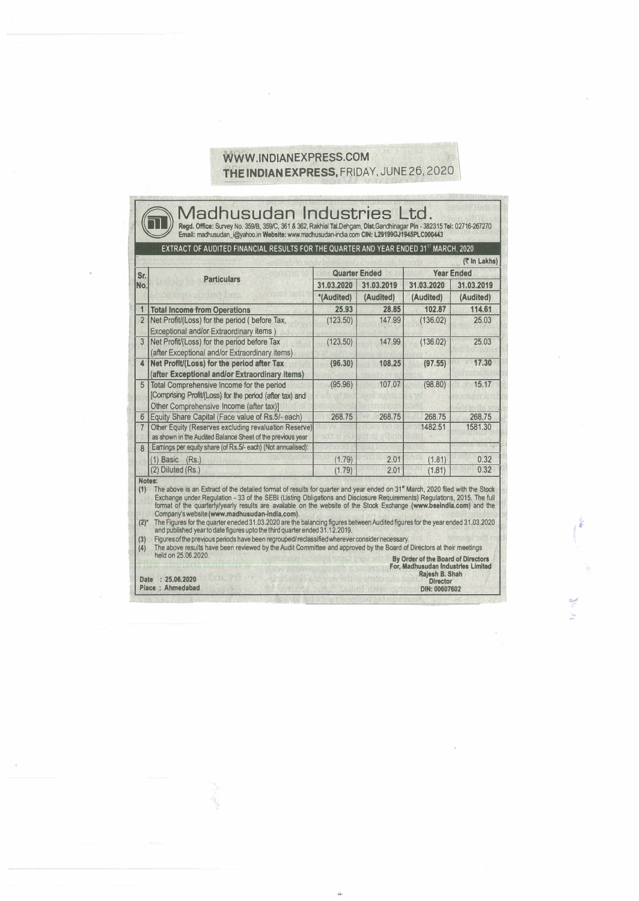## WWW.INDIANEXPRESS.COM THE INDIAN EXPRESS, FRIDAY, JUNE 26, 2020 \

| Sr.<br>No.     |                                                                                                                                                         |                          |           | EXTRACT OF AUDITED FINANCIAL RESULTS FOR THE QUARTER AND YEAR ENDED 31 <sup>ST</sup> MARCH, 2020 |           |
|----------------|---------------------------------------------------------------------------------------------------------------------------------------------------------|--------------------------|-----------|--------------------------------------------------------------------------------------------------|-----------|
|                |                                                                                                                                                         | <b>Quarter Ended</b>     |           | (₹ In Lakhs)<br><b>Year Ended</b>                                                                |           |
|                | <b>Particulars</b>                                                                                                                                      | 31.03.2020<br>31.03.2019 |           | 31.03.2020<br>31.03.2019                                                                         |           |
|                |                                                                                                                                                         | *(Audited)               | (Audited) | (Audited)                                                                                        | (Audited) |
| 1              | <b>Total Income from Operations</b>                                                                                                                     | 25.93                    | 28.85     | 102.87                                                                                           | 114.61    |
| $\overline{2}$ | Net Profit/(Loss) for the period (before Tax,<br>Exceptional and/or Extraordinary items)                                                                | (123.50)                 | 147.99    | (136.02)                                                                                         | 25.03     |
| 3              | Net Profit/(Loss) for the period before Tax<br>(after Exceptional and/or Extraordinary items)                                                           | (123.50)                 | 147.99    | (136.02)                                                                                         | 25.03     |
| $\Delta$       | Net Profit/(Loss) for the period after Tax<br>(after Exceptional and/or Extraordinary items)                                                            | (96.30)                  | 108.25    | (97.55)                                                                                          | 17.30     |
| 5              | <b>Total Comprehensive Income for the period</b><br>[Comprising Profit/(Loss) for the period (after tax) and<br>Other Comprehensive Income (after tax)] | (95.96)                  | 107.07    | (98.80)                                                                                          | 15.17     |
| 6              | Equity Share Capital (Face value of Rs.5/- each)                                                                                                        | 268.75                   | 268.75    | 268.75                                                                                           | 268.75    |
| $\overline{7}$ | Other Equity (Reserves excluding revaluation Reserve)<br>as shown in the Audited Balance Sheet of the previous year                                     |                          |           | 1482.51                                                                                          | 1581.30   |
| $\overline{8}$ | Earnings per equity share (of Rs.5/- each) (Not annualised):                                                                                            |                          |           |                                                                                                  |           |
|                | $(1)$ Basic $(Rs.)$                                                                                                                                     | (1.79)                   | 2.01      | (1.81)                                                                                           | 0.32      |
|                | (2) Diluted (Rs.)                                                                                                                                       | (1.79)                   | 2.01      | (1.81)                                                                                           | 0.32      |